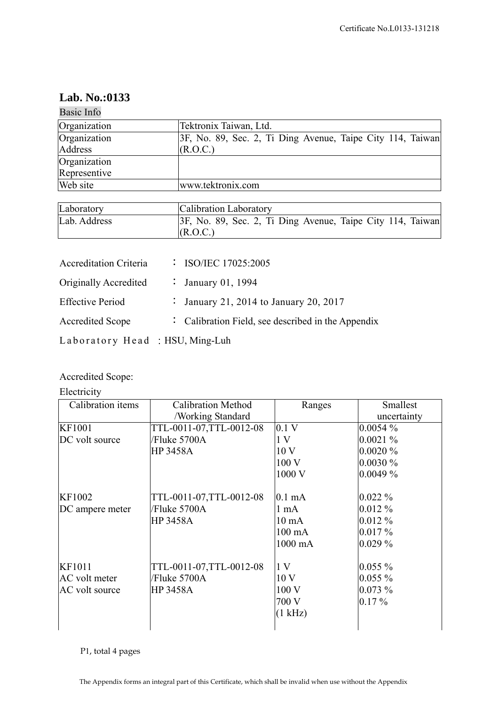## **Lab. No.:0133**

| Basic Info                     |                      |                                                            |  |  |
|--------------------------------|----------------------|------------------------------------------------------------|--|--|
| Organization                   |                      | Tektronix Taiwan, Ltd.                                     |  |  |
| Organization                   |                      | 3F, No. 89, Sec. 2, Ti Ding Avenue, Taipe City 114, Taiwan |  |  |
| Address                        |                      | (R.O.C.)                                                   |  |  |
| Organization                   |                      |                                                            |  |  |
| Representive                   |                      |                                                            |  |  |
| Web site                       |                      | www.tektronix.com                                          |  |  |
|                                |                      |                                                            |  |  |
| Laboratory                     |                      | Calibration Laboratory                                     |  |  |
| Lab. Address                   |                      | 3F, No. 89, Sec. 2, Ti Ding Avenue, Taipe City 114, Taiwan |  |  |
|                                |                      | (R.O.C.)                                                   |  |  |
|                                |                      |                                                            |  |  |
| <b>Accreditation Criteria</b>  |                      | : ISO/IEC 17025:2005                                       |  |  |
| Originally Accredited          | $\ddot{\cdot}$       | January 01, 1994                                           |  |  |
| <b>Effective Period</b>        | $\ddot{\phantom{0}}$ | January 21, 2014 to January 20, 2017                       |  |  |
| <b>Accredited Scope</b>        |                      | Calibration Field, see described in the Appendix           |  |  |
| Laboratory Head: HSU, Ming-Luh |                      |                                                            |  |  |

## Accredited Scope:

Electricity

| Calibration items | <b>Calibration Method</b> | Ranges           | Smallest    |
|-------------------|---------------------------|------------------|-------------|
|                   | /Working Standard         |                  | uncertainty |
| KF1001            | TTL-0011-07, TTL-0012-08  | 0.1 V            | $0.0054\%$  |
| DC volt source    | /Fluke 5700A              | 1 <sub>V</sub>   | $0.0021\%$  |
|                   | <b>HP 3458A</b>           | 10 <sub>V</sub>  | $0.0020\%$  |
|                   |                           | 100 V            | $0.0030\%$  |
|                   |                           | 1000 V           | $0.0049\%$  |
| KF1002            | TTL-0011-07,TTL-0012-08   | $0.1 \text{ mA}$ | $0.022\%$   |
| DC ampere meter   | /Fluke 5700A              | $1 \text{ mA}$   | $0.012\%$   |
|                   | <b>HP 3458A</b>           | $10 \text{ mA}$  | $0.012\%$   |
|                   |                           | $100 \text{ mA}$ | $0.017\%$   |
|                   |                           | 1000 mA          | $0.029\%$   |
| KF1011            | TTL-0011-07,TTL-0012-08   | 1 <sub>V</sub>   | $0.055\%$   |
| AC volt meter     | /Fluke 5700A              | 10 <sub>V</sub>  | $0.055\%$   |
| AC volt source    | <b>HP 3458A</b>           | 100 V            | $0.073\%$   |
|                   |                           | 700 V            | $0.17\%$    |
|                   |                           | (1 kHz)          |             |
|                   |                           |                  |             |

P1, total 4 pages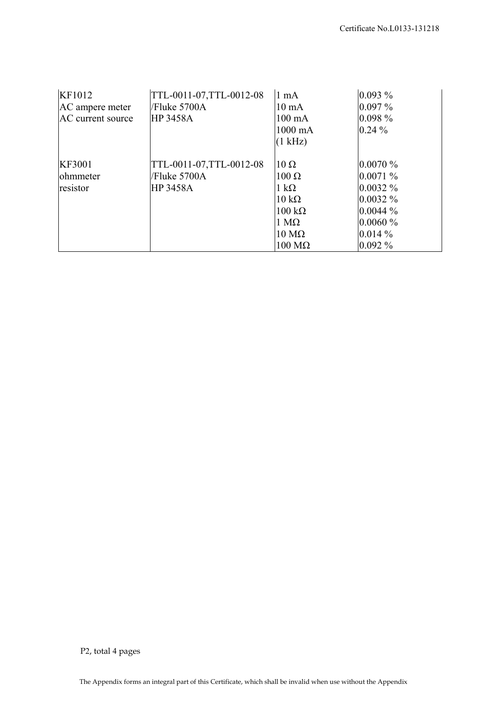| KF1012            | TTL-0011-07, TTL-0012-08 | 1 mA                  | $0.093\%$  |
|-------------------|--------------------------|-----------------------|------------|
| AC ampere meter   | Fluke 5700A              | $10 \text{ mA}$       | $0.097\%$  |
| AC current source | <b>HP 3458A</b>          | $100 \text{ mA}$      | $0.098\%$  |
|                   |                          | $1000 \text{ mA}$     | $0.24\%$   |
|                   |                          | (1 kHz)               |            |
| <b>KF3001</b>     | TTL-0011-07, TTL-0012-08 | $10 \Omega$           | $0.0070\%$ |
| ohmmeter          | Fluke 5700A              | $100 \Omega$          | 0.0071%    |
| resistor          | <b>HP 3458A</b>          | $1 \text{ k}\Omega$   | $0.0032\%$ |
|                   |                          | $10 \text{ k}\Omega$  | $0.0032\%$ |
|                   |                          | $100 \text{ k}\Omega$ | $0.0044\%$ |
|                   |                          | $1 \text{ M}\Omega$   | $0.0060\%$ |
|                   |                          | $10 \text{ M}\Omega$  | $0.014\%$  |
|                   |                          | $100 \text{ M}\Omega$ | $0.092\%$  |

P2, total 4 pages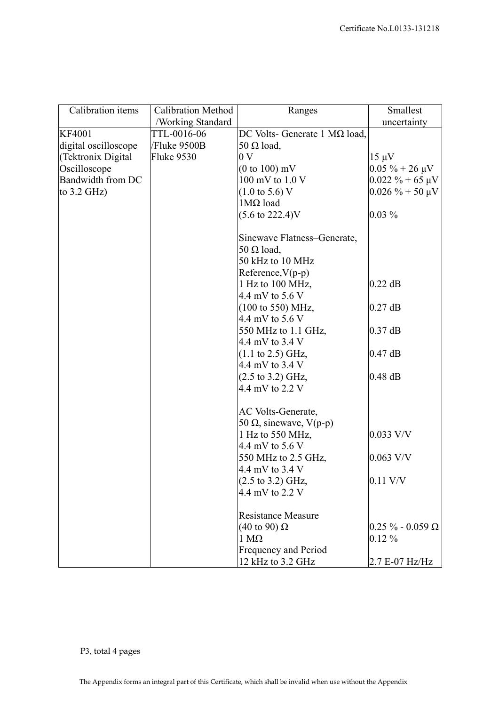| Calibration items    | <b>Calibration Method</b> | Ranges                                | Smallest                 |
|----------------------|---------------------------|---------------------------------------|--------------------------|
|                      | /Working Standard         |                                       | uncertainty              |
| <b>KF4001</b>        | TTL-0016-06               | DC Volts- Generate 1 M $\Omega$ load, |                          |
| digital oscilloscope | /Fluke 9500B              | 50 $\Omega$ load,                     |                          |
| (Tektronix Digital   | Fluke 9530                | 0 <sub>V</sub>                        | $15 \mu V$               |
| Oscilloscope         |                           | $(0 to 100)$ mV                       | $0.05 \% + 26 \mu V$     |
| Bandwidth from DC    |                           | 100 mV to 1.0 V                       | $0.022 \% + 65 \mu V$    |
| to $3.2$ GHz)        |                           | $(1.0 \text{ to } 5.6) \text{ V}$     | $0.026 \% + 50 \mu V$    |
|                      |                           | $1M\Omega$ load                       |                          |
|                      |                           | $(5.6 \text{ to } 222.4)$ V           | $0.03\%$                 |
|                      |                           | Sinewave Flatness-Generate,           |                          |
|                      |                           | 50 $\Omega$ load,                     |                          |
|                      |                           | 50 kHz to 10 MHz                      |                          |
|                      |                           | $Reference, V(p-p)$                   |                          |
|                      |                           | 1 Hz to 100 MHz,                      | $0.22$ dB                |
|                      |                           | 4.4 mV to 5.6 V                       |                          |
|                      |                           | (100 to 550) MHz,                     | $0.27$ dB                |
|                      |                           | 4.4 mV to 5.6 V                       |                          |
|                      |                           | 550 MHz to 1.1 GHz,                   | $0.37$ dB                |
|                      |                           | 4.4 mV to 3.4 V                       |                          |
|                      |                           | $(1.1 \text{ to } 2.5) \text{ GHz},$  | $0.47$ dB                |
|                      |                           | 4.4 mV to 3.4 V                       |                          |
|                      |                           | $(2.5 \text{ to } 3.2) \text{ GHz},$  | $0.48$ dB                |
|                      |                           | 4.4 mV to 2.2 V                       |                          |
|                      |                           | AC Volts-Generate,                    |                          |
|                      |                           | 50 Ω, sinewave, $V(p-p)$              |                          |
|                      |                           | 1 Hz to 550 MHz,                      | $0.033$ V/V              |
|                      |                           | 4.4 mV to 5.6 V                       |                          |
|                      |                           | 550 MHz to 2.5 GHz,                   | $0.063$ V/V              |
|                      |                           | 4.4 mV to 3.4 V                       |                          |
|                      |                           | $(2.5 \text{ to } 3.2) \text{ GHz},$  | $0.11$ V/V               |
|                      |                           | 4.4 mV to 2.2 V                       |                          |
|                      |                           | <b>Resistance Measure</b>             |                          |
|                      |                           | $(40 \text{ to } 90) \Omega$          | $0.25 \% - 0.059 \Omega$ |
|                      |                           | $1 M\Omega$                           | $0.12\%$                 |
|                      |                           | Frequency and Period                  |                          |
|                      |                           | 12 kHz to 3.2 GHz                     | 2.7 E-07 Hz/Hz           |

P3, total 4 pages